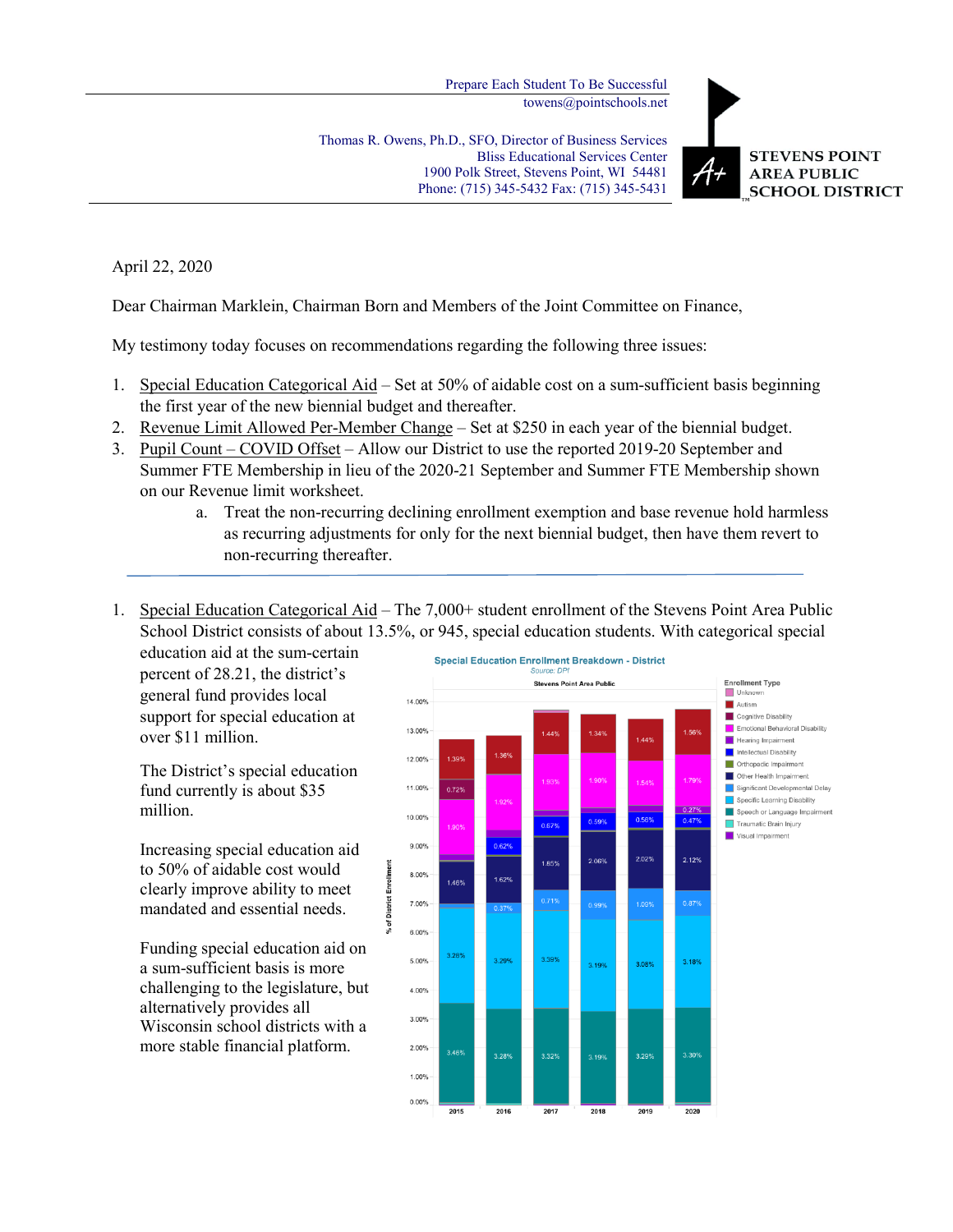Prepare Each Student To Be Successful towens@pointschools.net

Thomas R. Owens, Ph.D., SFO, Director of Business Services Bliss Educational Services Center 1900 Polk Street, Stevens Point, WI 54481 Phone: (715) 345-5432 Fax: (715) 345-5431



## April 22, 2020

Dear Chairman Marklein, Chairman Born and Members of the Joint Committee on Finance,

My testimony today focuses on recommendations regarding the following three issues:

% of District Enrollment

- 1. Special Education Categorical Aid Set at 50% of aidable cost on a sum-sufficient basis beginning the first year of the new biennial budget and thereafter.
- 2. Revenue Limit Allowed Per-Member Change Set at \$250 in each year of the biennial budget.
- 3. Pupil Count COVID Offset Allow our District to use the reported 2019-20 September and Summer FTE Membership in lieu of the 2020-21 September and Summer FTE Membership shown on our Revenue limit worksheet.
	- a. Treat the non-recurring declining enrollment exemption and base revenue hold harmless as recurring adjustments for only for the next biennial budget, then have them revert to non-recurring thereafter.
- 1. Special Education Categorical Aid The 7,000+ student enrollment of the Stevens Point Area Public School District consists of about 13.5%, or 945, special education students. With categorical special

education aid at the sum-certain percent of 28.21, the district's general fund provides local support for special education at over \$11 million.

The District's special education fund currently is about \$35 million.

Increasing special education aid to 50% of aidable cost would clearly improve ability to meet mandated and essential needs.

Funding special education aid on a sum-sufficient basis is more challenging to the legislature, but alternatively provides all Wisconsin school districts with a more stable financial platform.